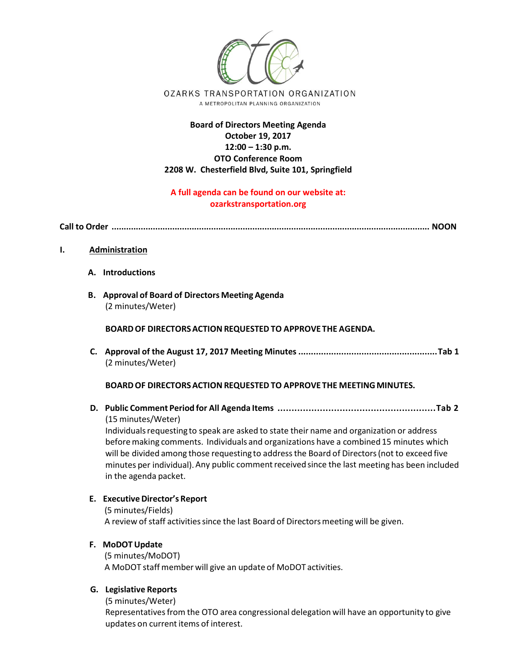

# **Board of Directors Meeting Agenda October 19, 2017 12:00 – 1:30 p.m. OTO Conference Room 2208 W. Chesterfield Blvd, Suite 101, Springfield**

# **A full agenda can be found on our website at: ozarkstransportation.org**

**Call to Order ................................................................................................................................... NOON** 

- **I. Administration**
	- **A. Introductions**
	- **B. Approval of Board of Directors Meeting Agenda** (2 minutes/Weter)

**BOARDOF DIRECTORSACTION REQUESTED TO APPROVE THE AGENDA.**

**C. Approval of the August 17, 2017 Meeting Minutes .......................................................Tab 1** (2 minutes/Weter)

**BOARDOF DIRECTORSACTION REQUESTED TO APPROVE THE MEETING MINUTES.** 

**D. Public Comment Period for All Agenda Items ........................................................Tab 2** (15 minutes/Weter)

Individualsrequesting to speak are asked to state their name and organization or address before making comments. Individuals and organizations have a combined 15 minutes which will be divided among those requesting to addressthe Board of Directors(not to exceed five minutes per individual). Any public comment received since the last meeting has been included in the agenda packet.

## **E. ExecutiveDirector's Report**

(5 minutes/Fields) A review of staff activities since the last Board of Directors meeting will be given.

## **F. MoDOT Update**

(5 minutes/MoDOT) A MoDOT staff member will give an update of MoDOT activities.

## **G. Legislative Reports**

(5 minutes/Weter)

Representatives from the OTO area congressional delegation will have an opportunity to give updates on current items of interest.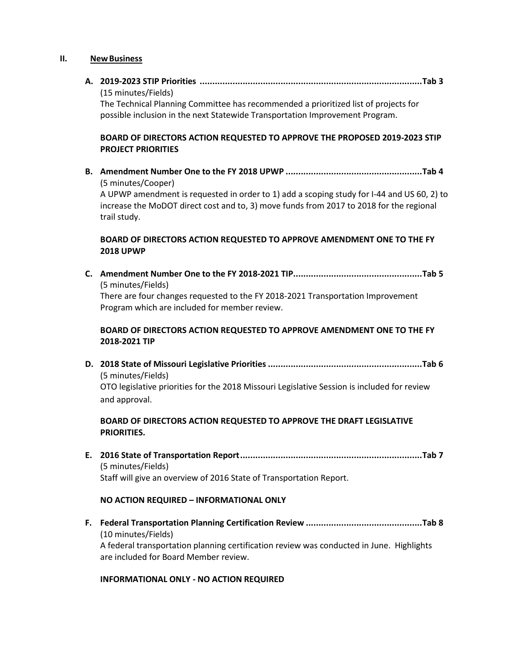#### **II. NewBusiness**

**A. 2019-2023 STIP Priorities ........................................................................................Tab 3** (15 minutes/Fields) The Technical Planning Committee has recommended a prioritized list of projects for possible inclusion in the next Statewide Transportation Improvement Program. **BOARD OF DIRECTORS ACTION REQUESTED TO APPROVE THE PROPOSED 2019-2023 STIP PROJECT PRIORITIES B. Amendment Number One to the FY 2018 UPWP ......................................................Tab 4** (5 minutes/Cooper) A UPWP amendment is requested in order to 1) add a scoping study for I-44 and US 60, 2) to increase the MoDOT direct cost and to, 3) move funds from 2017 to 2018 for the regional trail study. **BOARD OF DIRECTORS ACTION REQUESTED TO APPROVE AMENDMENT ONE TO THE FY 2018 UPWP C. Amendment Number One to the FY 2018-2021 TIP...................................................Tab 5** (5 minutes/Fields) There are four changes requested to the FY 2018-2021 Transportation Improvement Program which are included for member review. **BOARD OF DIRECTORS ACTION REQUESTED TO APPROVE AMENDMENT ONE TO THE FY 2018-2021 TIP D. 2018 State of Missouri Legislative Priorities.............................................................Tab 6** (5 minutes/Fields) OTO legislative priorities for the 2018 Missouri Legislative Session is included for review and approval. **BOARD OF DIRECTORS ACTION REQUESTED TO APPROVE THE DRAFT LEGISLATIVE PRIORITIES. E. 2016 State of Transportation Report........................................................................Tab 7** (5 minutes/Fields) Staff will give an overview of 2016 State of Transportation Report.

## **NO ACTION REQUIRED – INFORMATIONAL ONLY**

**F. Federal Transportation Planning Certification Review ..............................................Tab 8** (10 minutes/Fields) A federal transportation planning certification review was conducted in June. Highlights are included for Board Member review.

## **INFORMATIONAL ONLY - NO ACTION REQUIRED**